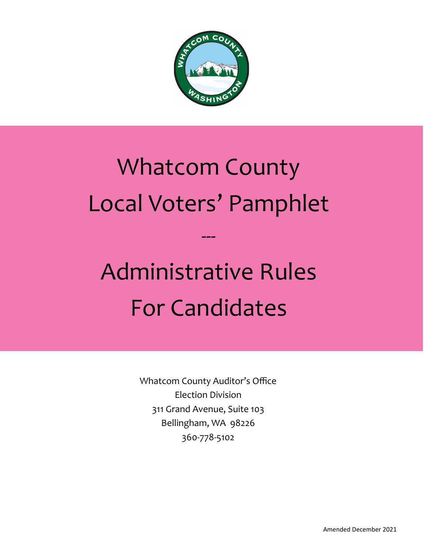

# Whatcom County Local Voters' Pamphlet

---

# Administrative Rules For Candidates

Whatcom County Auditor's Office Election Division 311 Grand Avenue, Suite 103 Bellingham, WA 98226 360-778-5102

Amended December 2021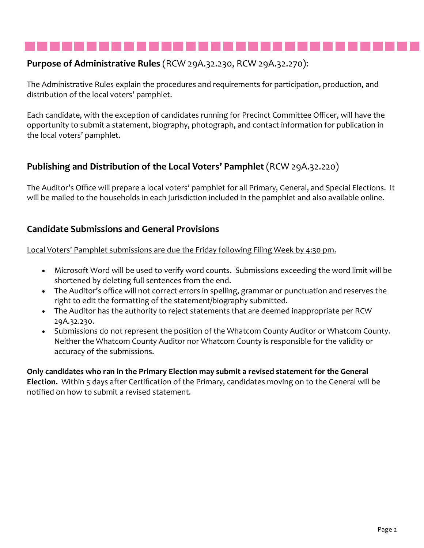# **Purpose of Administrative Rules** (RCW 29A.32.230, RCW 29A.32.270):

The Administrative Rules explain the procedures and requirements for participation, production, and distribution of the local voters' pamphlet.

Each candidate, with the exception of candidates running for Precinct Committee Officer, will have the opportunity to submit a statement, biography, photograph, and contact information for publication in the local voters' pamphlet.

# **Publishing and Distribution of the Local Voters' Pamphlet** (RCW 29A.32.220)

The Auditor's Office will prepare a local voters' pamphlet for all Primary, General, and Special Elections. It will be mailed to the households in each jurisdiction included in the pamphlet and also available online.

# **Candidate Submissions and General Provisions**

Local Voters' Pamphlet submissions are due the Friday following Filing Week by 4:30 pm.

- Microsoft Word will be used to verify word counts. Submissions exceeding the word limit will be shortened by deleting full sentences from the end.
- The Auditor's office will not correct errors in spelling, grammar or punctuation and reserves the right to edit the formatting of the statement/biography submitted.
- The Auditor has the authority to reject statements that are deemed inappropriate per RCW 29A.32.230.
- Submissions do not represent the position of the Whatcom County Auditor or Whatcom County. Neither the Whatcom County Auditor nor Whatcom County is responsible for the validity or accuracy of the submissions.

### **Only candidates who ran in the Primary Election may submit a revised statement for the General Election.** Within 5 days after Certification of the Primary, candidates moving on to the General will be notified on how to submit a revised statement.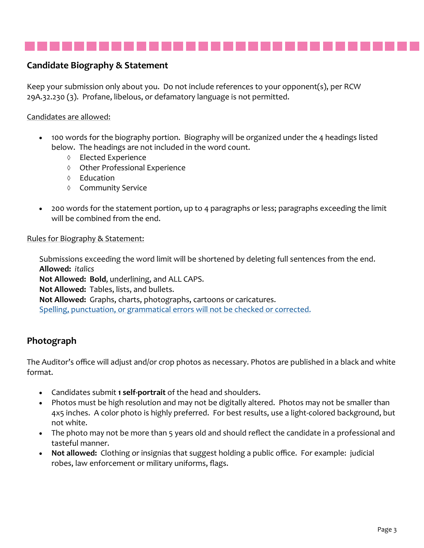

# **Candidate Biography & Statement**

Keep your submission only about you. Do not include references to your opponent(s), per RCW 29A.32.230 (3). Profane, libelous, or defamatory language is not permitted.

### Candidates are allowed:

- 100 words for the biography portion. Biography will be organized under the 4 headings listed below. The headings are not included in the word count.
	- Elected Experience
	- Other Professional Experience
	- $\Diamond$  Education
	- ♦ Community Service
- 200 words for the statement portion, up to 4 paragraphs or less; paragraphs exceeding the limit will be combined from the end.

#### Rules for Biography & Statement:

Submissions exceeding the word limit will be shortened by deleting full sentences from the end. **Allowed:** *italics* **Not Allowed: Bold**, underlining, and ALL CAPS. **Not Allowed:** Tables, lists, and bullets. **Not Allowed:** Graphs, charts, photographs, cartoons or caricatures. Spelling, punctuation, or grammatical errors will not be checked or corrected.

# **Photograph**

The Auditor's office will adjust and/or crop photos as necessary. Photos are published in a black and white format.

- Candidates submit **1 self-portrait** of the head and shoulders.
- Photos must be high resolution and may not be digitally altered. Photos may not be smaller than 4x5 inches. A color photo is highly preferred. For best results, use a light-colored background, but not white.
- The photo may not be more than 5 years old and should reflect the candidate in a professional and tasteful manner.
- **Not allowed:** Clothing or insignias that suggest holding a public office. For example: judicial robes, law enforcement or military uniforms, flags.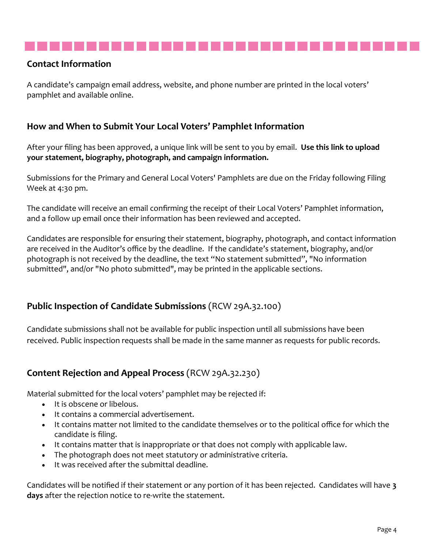# **Contact Information**

A candidate's campaign email address, website, and phone number are printed in the local voters' pamphlet and available online.

# **How and When to Submit Your Local Voters' Pamphlet Information**

After your filing has been approved, a unique link will be sent to you by email. **Use this link to upload your statement, biography, photograph, and campaign information.** 

Submissions for the Primary and General Local Voters' Pamphlets are due on the Friday following Filing Week at 4:30 pm.

The candidate will receive an email confirming the receipt of their Local Voters' Pamphlet information, and a follow up email once their information has been reviewed and accepted.

Candidates are responsible for ensuring their statement, biography, photograph, and contact information are received in the Auditor's office by the deadline. If the candidate's statement, biography, and/or photograph is not received by the deadline, the text "No statement submitted", "No information submitted", and/or "No photo submitted", may be printed in the applicable sections.

# **Public Inspection of Candidate Submissions** (RCW 29A.32.100)

Candidate submissions shall not be available for public inspection until all submissions have been received. Public inspection requests shall be made in the same manner as requests for public records.

# **Content Rejection and Appeal Process** (RCW 29A.32.230)

Material submitted for the local voters' pamphlet may be rejected if:

- It is obscene or libelous.
- It contains a commercial advertisement.
- It contains matter not limited to the candidate themselves or to the political office for which the candidate is filing.
- It contains matter that is inappropriate or that does not comply with applicable law.
- The photograph does not meet statutory or administrative criteria.
- It was received after the submittal deadline.

Candidates will be notified if their statement or any portion of it has been rejected. Candidates will have **3 days** after the rejection notice to re-write the statement.